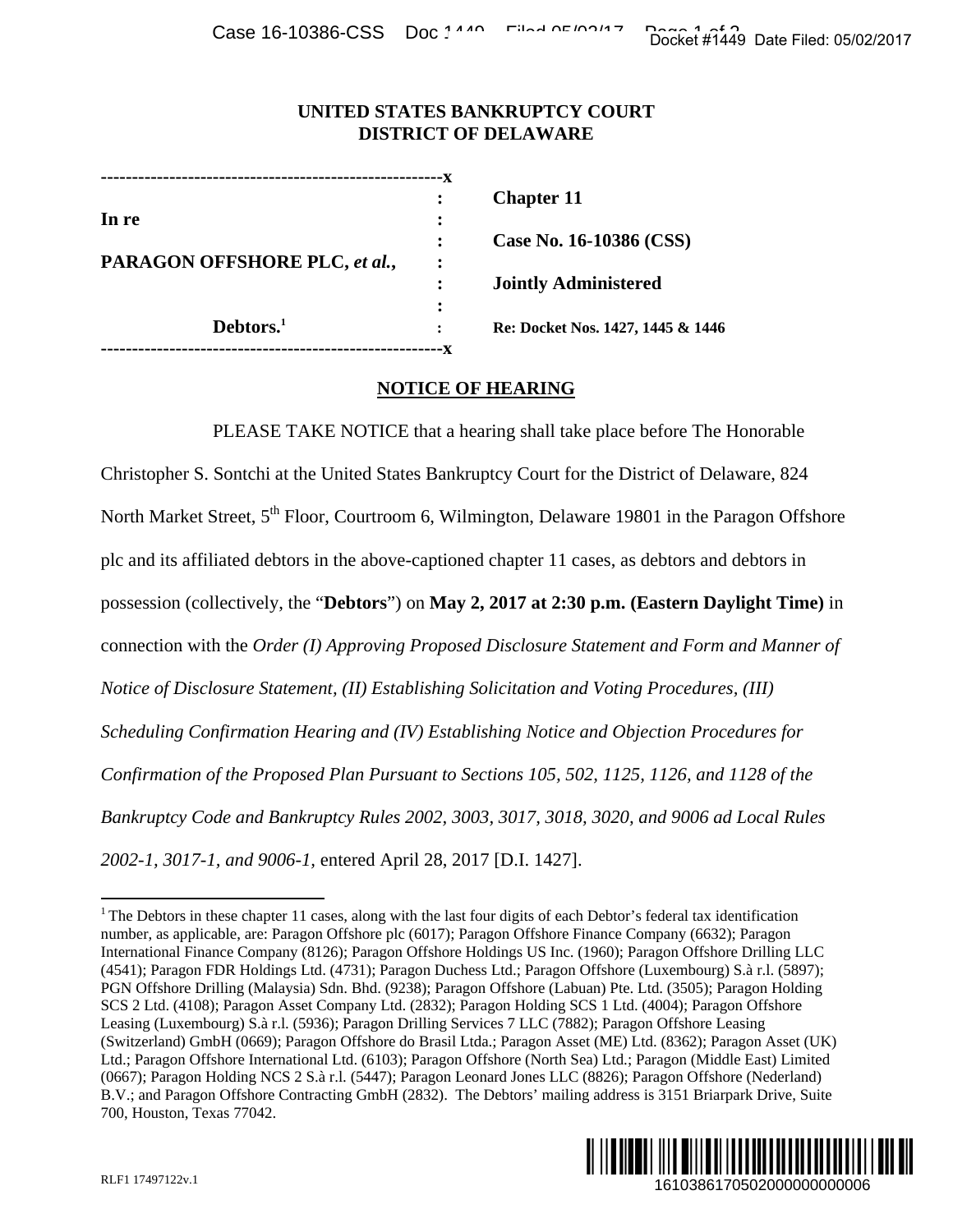Case 16-10386-CSS Doc 1440 Filed 05/02/2017

## **UNITED STATES BANKRUPTCY COURT DISTRICT OF DELAWARE**

| In re                         |  |
|-------------------------------|--|
|                               |  |
| PARAGON OFFSHORE PLC, et al., |  |
|                               |  |
|                               |  |
| Debtors. <sup>1</sup>         |  |
|                               |  |

**Chapter 11** 

 **: Case No. 16-10386 (CSS)** 

 **: Jointly Administered** 

 **: Re: Docket Nos. 1427, 1445 & 1446** 

## **NOTICE OF HEARING**

PLEASE TAKE NOTICE that a hearing shall take place before The Honorable Christopher S. Sontchi at the United States Bankruptcy Court for the District of Delaware, 824 North Market Street, 5<sup>th</sup> Floor, Courtroom 6, Wilmington, Delaware 19801 in the Paragon Offshore plc and its affiliated debtors in the above-captioned chapter 11 cases, as debtors and debtors in possession (collectively, the "**Debtors**") on **May 2, 2017 at 2:30 p.m. (Eastern Daylight Time)** in connection with the *Order (I) Approving Proposed Disclosure Statement and Form and Manner of Notice of Disclosure Statement, (II) Establishing Solicitation and Voting Procedures, (III) Scheduling Confirmation Hearing and (IV) Establishing Notice and Objection Procedures for Confirmation of the Proposed Plan Pursuant to Sections 105, 502, 1125, 1126, and 1128 of the Bankruptcy Code and Bankruptcy Rules 2002, 3003, 3017, 3018, 3020, and 9006 ad Local Rules 2002-1, 3017-1, and 9006-1,* entered April 28, 2017 [D.I. 1427]. Docket #1449 Date Filed: 05/02/2017<br>
161038617<br>
16105<br>
16106 The Honorable<br>
16106 The Honorable<br>
16106 The Honorable<br>
16106 The Paragon Offshore<br>
16106 The Paragon Offshore<br>
16106 The Paragon Offshore<br>
1626, and 1128 of th

<sup>&</sup>lt;sup>1</sup> The Debtors in these chapter 11 cases, along with the last four digits of each Debtor's federal tax identification number, as applicable, are: Paragon Offshore plc (6017); Paragon Offshore Finance Company (6632); Paragon International Finance Company (8126); Paragon Offshore Holdings US Inc. (1960); Paragon Offshore Drilling LLC (4541); Paragon FDR Holdings Ltd. (4731); Paragon Duchess Ltd.; Paragon Offshore (Luxembourg) S.à r.l. (5897); PGN Offshore Drilling (Malaysia) Sdn. Bhd. (9238); Paragon Offshore (Labuan) Pte. Ltd. (3505); Paragon Holding SCS 2 Ltd. (4108); Paragon Asset Company Ltd. (2832); Paragon Holding SCS 1 Ltd. (4004); Paragon Offshore Leasing (Luxembourg) S.à r.l. (5936); Paragon Drilling Services 7 LLC (7882); Paragon Offshore Leasing (Switzerland) GmbH (0669); Paragon Offshore do Brasil Ltda.; Paragon Asset (ME) Ltd. (8362); Paragon Asset (UK) Ltd.; Paragon Offshore International Ltd. (6103); Paragon Offshore (North Sea) Ltd.; Paragon (Middle East) Limited (0667); Paragon Holding NCS 2 S.à r.l. (5447); Paragon Leonard Jones LLC (8826); Paragon Offshore (Nederland) B.V.; and Paragon Offshore Contracting GmbH (2832). The Debtors' mailing address is 3151 Briarpark Drive, Suite 700, Houston, Texas 77042.



 $\overline{a}$